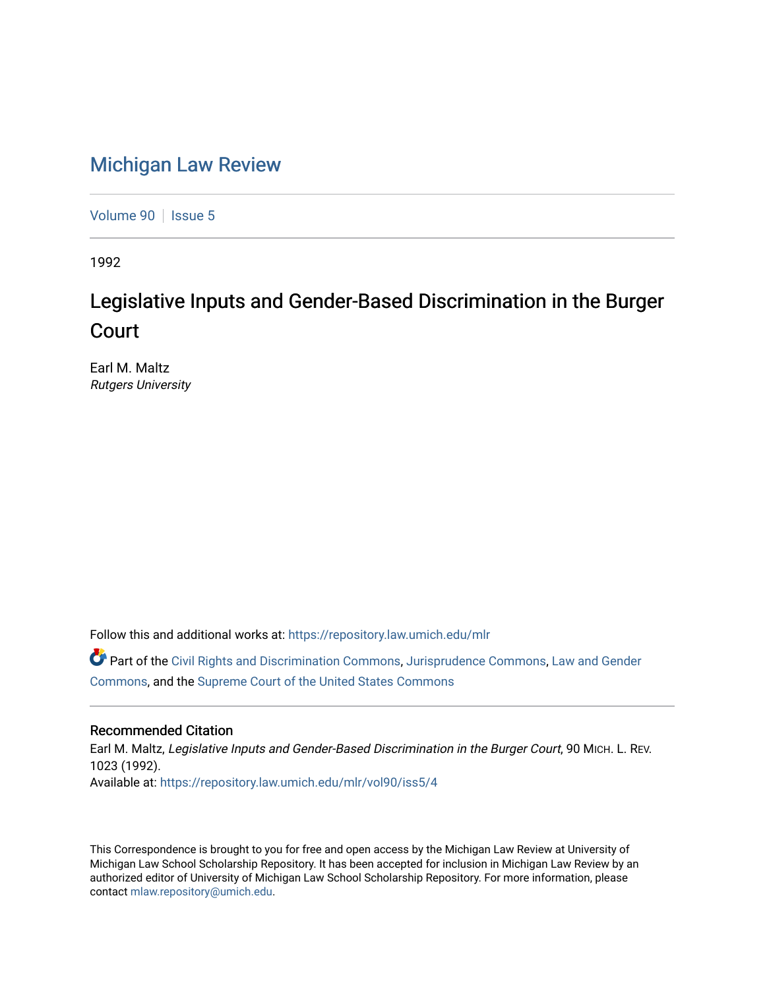## [Michigan Law Review](https://repository.law.umich.edu/mlr)

[Volume 90](https://repository.law.umich.edu/mlr/vol90) | [Issue 5](https://repository.law.umich.edu/mlr/vol90/iss5)

1992

# Legislative Inputs and Gender-Based Discrimination in the Burger Court

Earl M. Maltz Rutgers University

Follow this and additional works at: [https://repository.law.umich.edu/mlr](https://repository.law.umich.edu/mlr?utm_source=repository.law.umich.edu%2Fmlr%2Fvol90%2Fiss5%2F4&utm_medium=PDF&utm_campaign=PDFCoverPages) 

Part of the [Civil Rights and Discrimination Commons,](http://network.bepress.com/hgg/discipline/585?utm_source=repository.law.umich.edu%2Fmlr%2Fvol90%2Fiss5%2F4&utm_medium=PDF&utm_campaign=PDFCoverPages) [Jurisprudence Commons](http://network.bepress.com/hgg/discipline/610?utm_source=repository.law.umich.edu%2Fmlr%2Fvol90%2Fiss5%2F4&utm_medium=PDF&utm_campaign=PDFCoverPages), [Law and Gender](http://network.bepress.com/hgg/discipline/1298?utm_source=repository.law.umich.edu%2Fmlr%2Fvol90%2Fiss5%2F4&utm_medium=PDF&utm_campaign=PDFCoverPages)  [Commons](http://network.bepress.com/hgg/discipline/1298?utm_source=repository.law.umich.edu%2Fmlr%2Fvol90%2Fiss5%2F4&utm_medium=PDF&utm_campaign=PDFCoverPages), and the [Supreme Court of the United States Commons](http://network.bepress.com/hgg/discipline/1350?utm_source=repository.law.umich.edu%2Fmlr%2Fvol90%2Fiss5%2F4&utm_medium=PDF&utm_campaign=PDFCoverPages) 

#### Recommended Citation

Earl M. Maltz, Legislative Inputs and Gender-Based Discrimination in the Burger Court, 90 MICH. L. REV. 1023 (1992). Available at: [https://repository.law.umich.edu/mlr/vol90/iss5/4](https://repository.law.umich.edu/mlr/vol90/iss5/4?utm_source=repository.law.umich.edu%2Fmlr%2Fvol90%2Fiss5%2F4&utm_medium=PDF&utm_campaign=PDFCoverPages)

This Correspondence is brought to you for free and open access by the Michigan Law Review at University of Michigan Law School Scholarship Repository. It has been accepted for inclusion in Michigan Law Review by an authorized editor of University of Michigan Law School Scholarship Repository. For more information, please contact [mlaw.repository@umich.edu](mailto:mlaw.repository@umich.edu).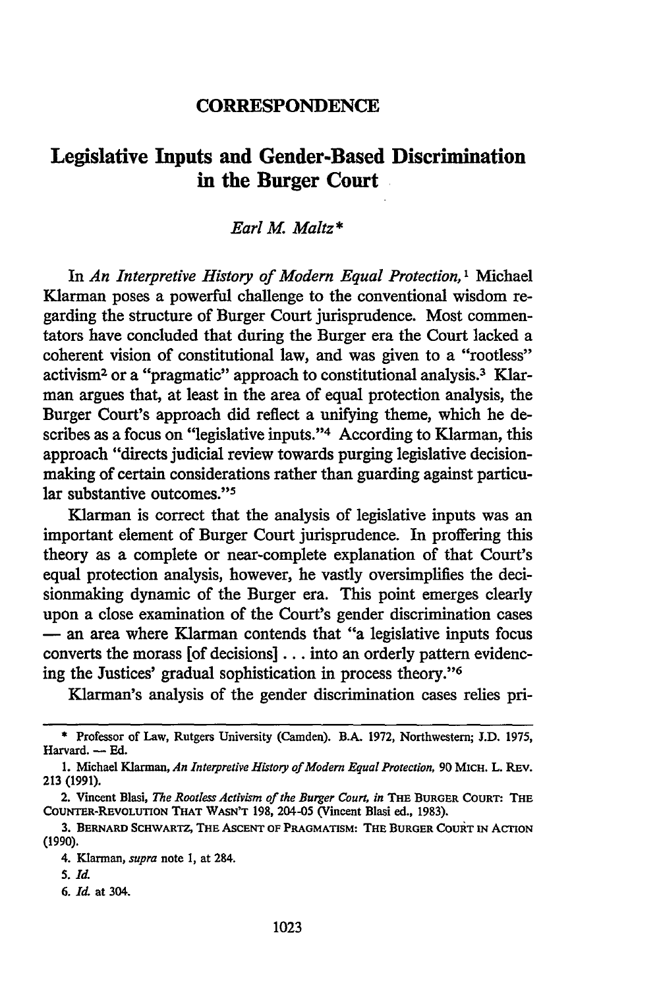#### **CORRESPONDENCE**

### **Legislative Inputs and Gender-Based Discrimination in the Burger Court**

#### *Earl* M. *Maltz\**

In *An Interpretive History of Modem Equal Protection,* 1 Michael Klarman poses a powerful challenge to the conventional wisdom regarding the structure of Burger Court jurisprudence. Most commentators have concluded that during the Burger era the Court lacked a coherent vision of constitutional law, and was given to a "rootless" activism2 or a "pragmatic" approach to constitutional analysis. 3 Klarman argues that, at least in the area of equal protection analysis, the Burger Court's approach did reflect a unifying theme, which he describes as a focus on "legislative inputs."<sup>4</sup> According to Klarman, this approach "directs judicial review towards purging legislative decisionmaking of certain considerations rather than guarding against particular substantive outcomes."5

Klarman is correct that the analysis of legislative inputs was an important element of Burger Court jurisprudence. In proffering this theory as a complete or near-complete explanation of that Court's equal protection analysis, however, he vastly oversimplifies the decisionmaking dynamic of the Burger era. This point emerges clearly upon a close examination of the Court's gender discrimination cases - an area where Klarman contends that "a legislative inputs focus converts the morass [of decisions] ... into an orderly pattern evidencing the Justices' gradual sophistication in process theory."6

Klarman's analysis of the gender discrimination cases relies pri-

<sup>\*</sup> Professor of Law, Rutgers University (Camden). B.A. 1972, Northwestern; J.D. 1975, Harvard. - Ed.

<sup>1.</sup> Michael Klarman, *An Interpretive History of Modem Equal Protection,* 90 MICH. L. REv. 213 (1991).

<sup>2.</sup> Vincent Blasi, *The Rootless Activism of the Burger Court, in* THE BURGER COURT: THE COUNTER-REVOLUTION THAT w ASN'T 198, 204-05 (Vincent Blasi ed., 1983).

<sup>3.</sup> BERNARD SCHWARTZ, THE ASCENT OF PRAGMATISM: THE BURGER COURT IN ACTION (1990).

<sup>4.</sup> Klarman, *supra* note 1, at 284.

<sup>5.</sup> *Id.* 

<sup>6.</sup> *Id.* at 304.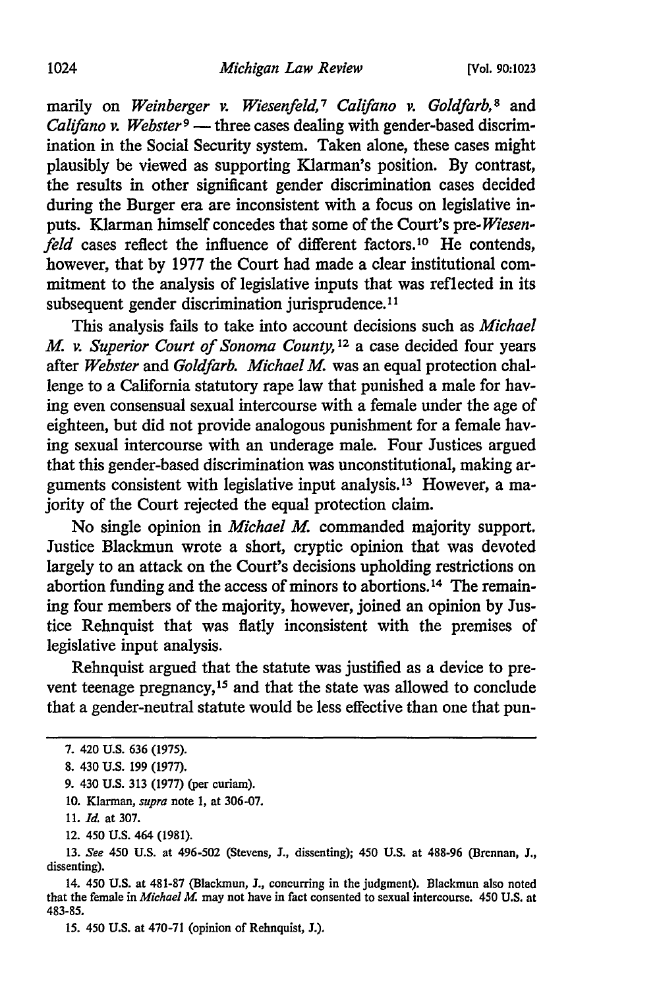marily on *Weinberger v. Wiesenfeld*,<sup>7</sup> Califano v. Goldfarb,<sup>8</sup> and *Califano v. Webster*<sup>9</sup> — three cases dealing with gender-based discrimination in the Social Security system. Taken alone, these cases might plausibly be viewed as supporting Klarman's position. By contrast, the results in other significant gender discrimination cases decided during the Burger era are inconsistent with a focus on legislative inputs. Klarman himself concedes that some of the Court's *pre-Wiesenfeld* cases reflect the influence of different factors.<sup>10</sup> He contends, however, that by 1977 the Court had made a clear institutional commitment to the analysis of legislative inputs that was reflected in its subsequent gender discrimination jurisprudence.<sup>11</sup>

This analysis fails to take into account decisions such as *Michael M. v. Superior Court of Sonoma County*,<sup>12</sup> a case decided four years after *Webster* and *Goldfarb. Michael M.* was an equal protection challenge to a California statutory rape law that punished a male for having even consensual sexual intercourse with a female under the age of eighteen, but did not provide analogous punishment for a female having sexual intercourse with an underage male. Four Justices argued that this gender-based discrimination was unconstitutional, making arguments consistent with legislative input analysis. 13 However, a majority of the Court rejected the equal protection claim.

No single opinion in *Michael M.* commanded majority support. Justice Blackmun wrote a short, cryptic opinion that was devoted largely to an attack on the Court's decisions upholding restrictions on abortion funding and the access of minors to abortions. 14 The remaining four members of the majority, however, joined an opinion by Justice Rehnquist that was flatly inconsistent with the premises of legislative input analysis.

Rehnquist argued that the statute was justified as a device to prevent teenage pregnancy, 15 and that the state was allowed to conclude that a gender-neutral statute would be less effective than one that pun-

<sup>7. 420</sup> U.S. 636 (1975).

<sup>8. 430</sup> U.S. 199 (1977).

<sup>9. 430</sup> U.S. 313 (1977) (per curiam).

<sup>10.</sup> Klarman, *supra* note l, at 306-07.

<sup>11.</sup> *Id.* at 307.

<sup>12. 450</sup> U.S. 464 (1981).

<sup>13.</sup> *See* 450 U.S. at 496-502 (Stevens, J., dissenting); 450 U.S. at 488-96 (Brennan, J., dissenting).

<sup>14. 450</sup> U.S. at 481-87 (Blackmun, J., concurring in the judgment). Blackmun also noted that the female in *Michael* M. may not have in fact consented to sexual intercourse. 450 U.S. at 483-85.

<sup>15. 450</sup> U.S. at 470-71 (opinion of Rehnquist, J.).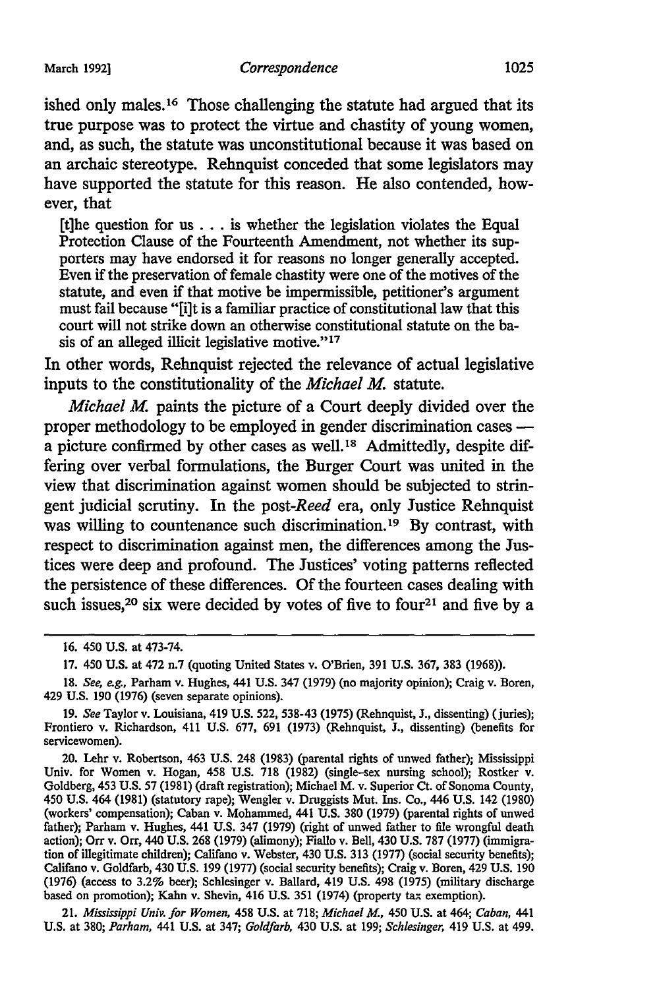March 1992) *Correspondence* 1025

ished only males. 16 Those challenging the statute had argued that its true purpose was to protect the virtue and chastity of young women, and, as such, the statute was unconstitutional because it was based on an archaic stereotype. Rehnquist conceded that some legislators may have supported the statute for this reason. He also contended, however, that

[t]he question for us  $\dots$  is whether the legislation violates the Equal Protection Clause of the Fourteenth Amendment, not whether its supporters may have endorsed it for reasons no longer generally accepted. Even if the preservation of female chastity were one of the motives of the statute, and even if that motive be impermissible, petitioner's argument must fail because "[i]t is a familiar practice of constitutional law that this court will not strike down an otherwise constitutional statute on the basis of an alleged illicit legislative motive."<sup>17</sup>

In other words, Rehnquist rejected the relevance of actual legislative inputs to the constitutionality of the *Michael* M. statute.

*Michael* M. paints the picture of a Court deeply divided over the proper methodology to be employed in gender discrimination cases a picture confirmed by other cases as well. 18 Admittedly, despite differing over verbal formulations, the Burger Court was united in the view that discrimination against women should be subjected to stringent judicial scrutiny. In the *post-Reed* era, only Justice Rehnquist was willing to countenance such discrimination.<sup>19</sup> By contrast, with respect to discrimination against men, the differences among the Justices were deep and profound. The Justices' voting patterns reflected the persistence of these differences. Of the fourteen cases dealing with such issues,<sup>20</sup> six were decided by votes of five to four<sup>21</sup> and five by a

<sup>16. 450</sup> U.S. at 473-74.

<sup>17. 450</sup> U.S. at 472 n.7 (quoting United States v. O'Brien, 391 U.S. 367, 383 (1968)).

<sup>18.</sup> *See, e.g.,* Parham v. Hughes, 441 U.S. 347 (1979) (no majority opinion); Craig v. Boren, 429 U.S. 190 (1976) (seven separate opinions).

<sup>19.</sup> *See* Taylor v. Louisiana, 419 U.S. 522, 538-43 (1975) (Rehnquist, J., dissenting) (juries); Frontiero v. Richardson, 411 U.S. 677, 691 (1973) (Rehnquist, J., dissenting) (benefits for servicewomen).

<sup>20.</sup> Lehr v. Robertson, 463 U.S. 248 (1983) (parental rights of unwed father); Mississippi Univ. for Women v. Hogan, 458 U.S. 718 (1982) (single-sex nursing school); Rostker v. Goldberg, 453 U.S. 57 (1981) (draft registration); Michael M. v. Superior Ct. of Sonoma County, 450 U.S. 464 (1981) (statutory rape); Wengler v. Druggists Mut. Ins. Co., 446 U.S. 142 (1980) (workers' compensation); Caban v. Mohammed, 441 U.S. 380 (1979) (parental rights of unwed father); Parham v. Hughes, 441 U.S. 347 (1979) (right of unwed father to file wrongful death action); Orr v. Orr, 440 U.S. 268 (1979) (alimony); Fiallo v. Bell, 430 U.S. 787 (1977) (immigration of illegitimate children); Califano v. Webster, 430 U.S. 313 (1977) (social security benefits); Califano v. Goldfarb, 430 U.S. 199 (1977) (social security benefits); Craig v. Boren, 429 U.S. 190 (1976) (access to 3.2% beer); Schlesinger v. Ballard, 419 U.S. 498 (1975) (military discharge based on promotion); Kahn v. Shevin, 416 U.S. 351 (1974) (property tax exemption).

<sup>21.</sup> *Mississippi Univ. for Women,* 458 U.S. at 718; *Michael M,* 450 U.S. at 464; *Caban,* 441 U.S. at 380; *Parham,* 441 U.S. at 347; *Goldfarb,* 430 U.S. at 199; *Schlesinger,* 419 U.S. at 499.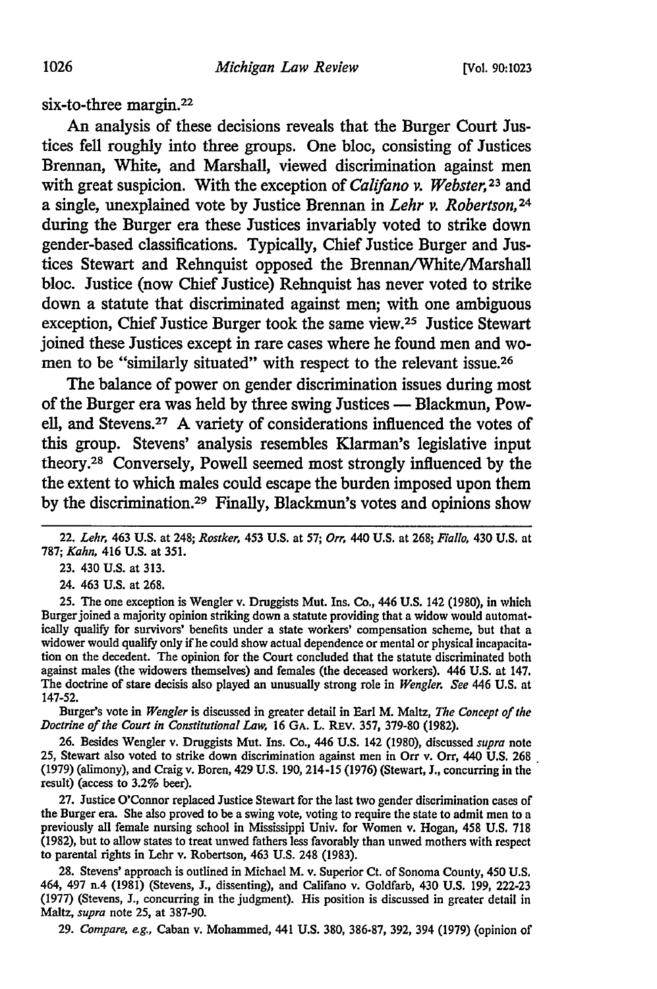six-to-three margin.<sup>22</sup>

An analysis of these decisions reveals that the Burger Court Justices fell roughly into three groups. One bloc, consisting of Justices Brennan, White, and Marshall, viewed discrimination against men with great suspicion. With the exception of *Califano v. Webster,* 23 and a single, unexplained vote by Justice Brennan in *Lehr v. Robertson,* <sup>24</sup> during the Burger era these Justices invariably voted to strike down gender-based classifications. Typically, Chief Justice Burger and Justices Stewart and Rehnquist opposed the Brennan/White/Marshall bloc. Justice (now Chief Justice) Rehnquist has never voted to strike down a statute that discriminated against men; with one ambiguous exception, Chief Justice Burger took the same view.25 Justice Stewart joined these Justices except in rare cases where he found men and women to be "similarly situated" with respect to the relevant issue.26

The balance of power on gender discrimination issues during most of the Burger era was held by three swing Justices — Blackmun, Powell, and Stevens.<sup>27</sup> A variety of considerations influenced the votes of this group. Stevens' analysis resembles Klarman's legislative input theory.28 Conversely, Powell seemed most strongly influenced by the the extent to which males could escape the burden imposed upon them by the discrimination.29 Finally, Blackmun's votes and opinions show

24. 463 U.S. at 268.

25. The one exception is Wengler v. Druggists Mut. Ins. Co., 446 U.S. 142 (1980), in which Burger joined a majority opinion striking down a statute providing that a widow would automatically qualify for survivors' benefits under a state workers' compensation scheme, but that a widower would qualify only if he could show actual dependence or mental or physical incapacitation on the decedent. The opinion for the Court concluded that the statute discriminated both against males (the widowers themselves) and females (the deceased workers). 446 U.S. at 147. The doctrine of stare decisis also played an unusually strong role in *Wengler. See* 446 U.S. at 147-52.

Burger's vote in *Wengler* is discussed in greater detail in Earl M. Maltz, *The Concept of the Doctrine of the Court in Constitutional Law,* 16 GA. L. REv. 357, 379-80 (1982).

26. Besides Wengler v. Druggists Mut. Ins. Co., 446 U.S. 142 (1980), discussed *supra* note 25, Stewart also voted to strike down discrimination against men in Orr v. Orr, 440 U.S. 268 . (1979) (alimony), and Craig v. Boren, 429 U.S. 190, 214-15 (1976) (Stewart, J., concurring in the result) (access to 3.2% beer).

27. Justice O'Connor replaced Justice Stewart for the last two gender discrimination cases of the Burger era. She also proved to be a swing vote, voting to require the state to admit men to a previously all female nursing school in Mississippi Univ. for Women v. Hogan, 458 U.S. 718 (1982), but to allow states to treat unwed fathers less favorably than unwed mothers with respect to parental rights in Lehr v. Robertson, 463 U.S. 248 (1983).

28. Stevens' approach is outlined in Michael M. v. Superior Ct. of Sonoma County, 450 U.S. 464, 497 n.4 (1981) (Stevens, J., dissenting), and Califano v. Goldfarb, 430 U.S. 199, 222-23 (1977) (Stevens, J., concurring in the judgment). His position is discussed in greater detail in Maltz, *supra* note 25, at 387-90.

29. *Compare, e.g.,* Caban v. Mohammed, 441 U.S. 380, 386-87, 392, 394 (1979) (opinion of

<sup>22.</sup> *Lehr,* 463 U.S. at 248; *Rostker,* 453 U.S. at 57; *Orr,* 440 U.S. at 268; *Fiallo,* 430 U.S. at 787; *Kahn,* 416 U.S. at 351.

<sup>23. 430</sup> U.S. at 313.